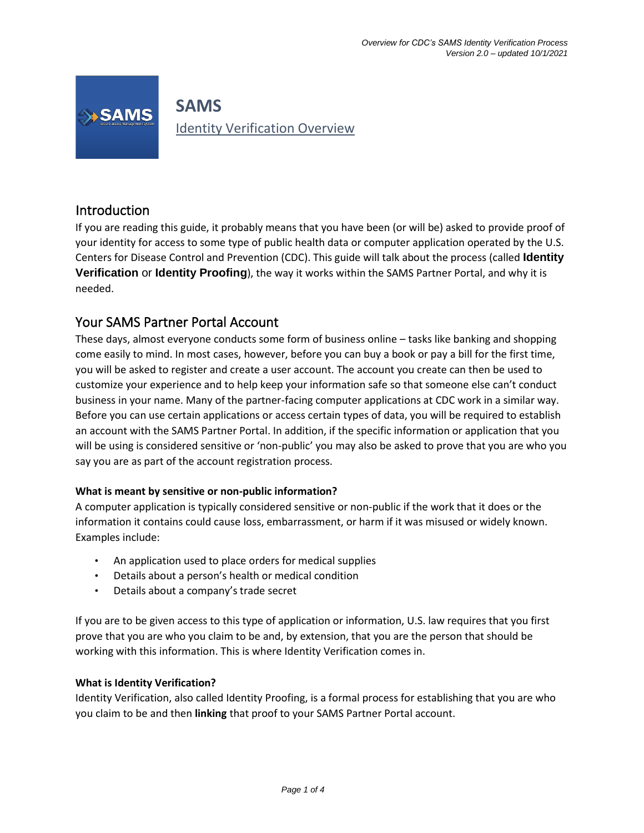

# **SAMS** Identity Verification Overview

## Introduction

If you are reading this guide, it probably means that you have been (or will be) asked to provide proof of your identity for access to some type of public health data or computer application operated by the U.S. Centers for Disease Control and Prevention (CDC). This guide will talk about the process (called **Identity Verification** or **Identity Proofing**), the way it works within the SAMS Partner Portal, and why it is needed.

## Your SAMS Partner Portal Account

These days, almost everyone conducts some form of business online – tasks like banking and shopping come easily to mind. In most cases, however, before you can buy a book or pay a bill for the first time, you will be asked to register and create a user account. The account you create can then be used to customize your experience and to help keep your information safe so that someone else can't conduct business in your name. Many of the partner-facing computer applications at CDC work in a similar way. Before you can use certain applications or access certain types of data, you will be required to establish an account with the SAMS Partner Portal. In addition, if the specific information or application that you will be using is considered sensitive or 'non-public' you may also be asked to prove that you are who you say you are as part of the account registration process.

#### **What is meant by sensitive or non-public information?**

A computer application is typically considered sensitive or non-public if the work that it does or the information it contains could cause loss, embarrassment, or harm if it was misused or widely known. Examples include:

- An application used to place orders for medical supplies
- Details about a person's health or medical condition
- Details about a company's trade secret

If you are to be given access to this type of application or information, U.S. law requires that you first prove that you are who you claim to be and, by extension, that you are the person that should be working with this information. This is where Identity Verification comes in.

#### **What is Identity Verification?**

Identity Verification, also called Identity Proofing, is a formal process for establishing that you are who you claim to be and then **linking** that proof to your SAMS Partner Portal account.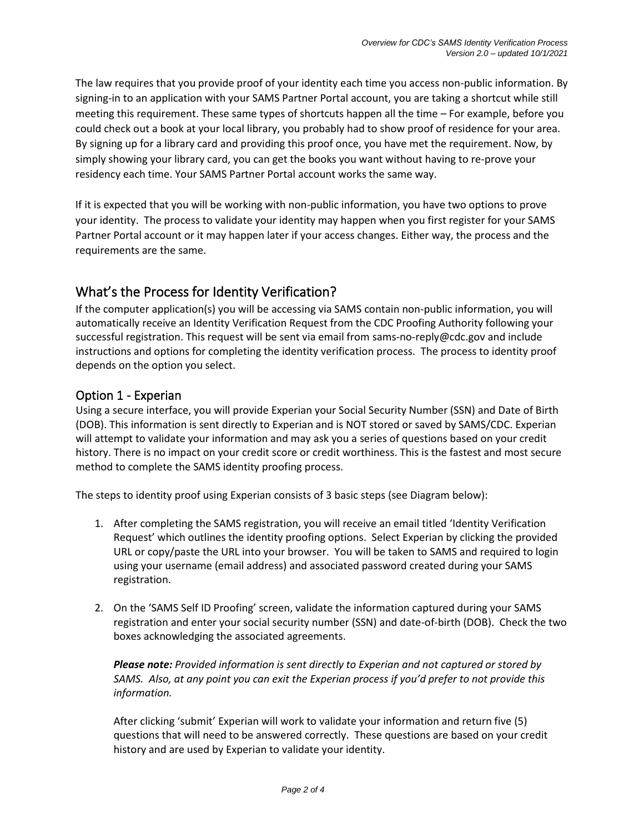The law requires that you provide proof of your identity each time you access non-public information. By signing-in to an application with your SAMS Partner Portal account, you are taking a shortcut while still meeting this requirement. These same types of shortcuts happen all the time – For example, before you could check out a book at your local library, you probably had to show proof of residence for your area. By signing up for a library card and providing this proof once, you have met the requirement. Now, by simply showing your library card, you can get the books you want without having to re-prove your residency each time. Your SAMS Partner Portal account works the same way.

If it is expected that you will be working with non-public information, you have two options to prove your identity. The process to validate your identity may happen when you first register for your SAMS Partner Portal account or it may happen later if your access changes. Either way, the process and the requirements are the same.

# What's the Process for Identity Verification?

If the computer application(s) you will be accessing via SAMS contain non-public information, you will automatically receive an Identity Verification Request from the CDC Proofing Authority following your successful registration. This request will be sent via email from [sams-no-reply@cdc.gov](mailto:sams-no-reply@cdc.gov) and include instructions and options for completing the identity verification process. The process to identity proof depends on the option you select.

### Option 1 - Experian

Using a secure interface, you will provide Experian your Social Security Number (SSN) and Date of Birth (DOB). This information is sent directly to Experian and is NOT stored or saved by SAMS/CDC. Experian will attempt to validate your information and may ask you a series of questions based on your credit history. There is no impact on your credit score or credit worthiness. This is the fastest and most secure method to complete the SAMS identity proofing process.

The steps to identity proof using Experian consists of 3 basic steps (see Diagram below):

- 1. After completing the SAMS registration, you will receive an email titled 'Identity Verification Request' which outlines the identity proofing options. Select Experian by clicking the provided URL or copy/paste the URL into your browser. You will be taken to SAMS and required to login using your username (email address) and associated password created during your SAMS registration.
- 2. On the 'SAMS Self ID Proofing' screen, validate the information captured during your SAMS registration and enter your social security number (SSN) and date-of-birth (DOB). Check the two boxes acknowledging the associated agreements.

*Please note: Provided information is sent directly to Experian and not captured or stored by SAMS. Also, at any point you can exit the Experian process if you'd prefer to not provide this information.*

After clicking 'submit' Experian will work to validate your information and return five (5) questions that will need to be answered correctly. These questions are based on your credit history and are used by Experian to validate your identity.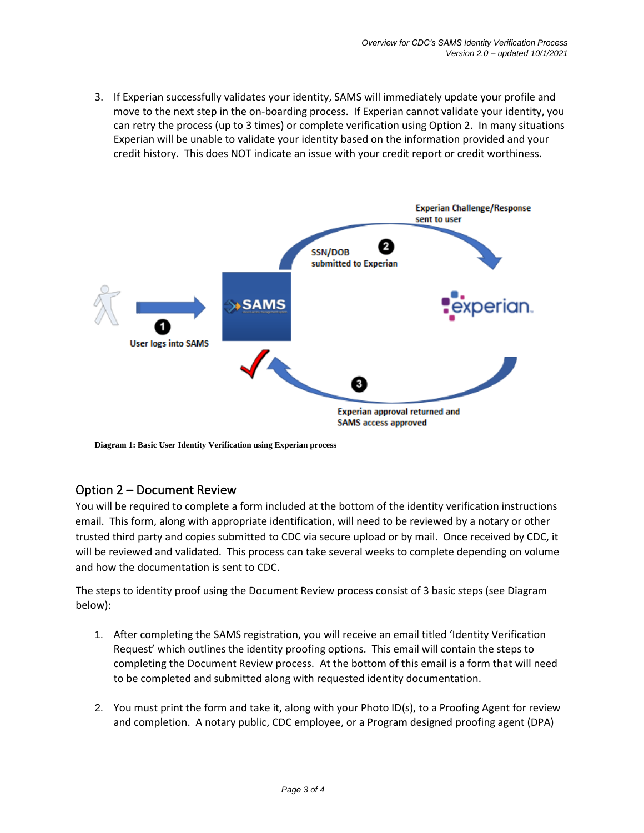3. If Experian successfully validates your identity, SAMS will immediately update your profile and move to the next step in the on-boarding process. If Experian cannot validate your identity, you can retry the process (up to 3 times) or complete verification using Option 2. In many situations Experian will be unable to validate your identity based on the information provided and your credit history. This does NOT indicate an issue with your credit report or credit worthiness.



**Diagram 1: Basic User Identity Verification using Experian process**

#### Option 2 – Document Review

You will be required to complete a form included at the bottom of the identity verification instructions email. This form, along with appropriate identification, will need to be reviewed by a notary or other trusted third party and copies submitted to CDC via secure upload or by mail. Once received by CDC, it will be reviewed and validated. This process can take several weeks to complete depending on volume and how the documentation is sent to CDC.

The steps to identity proof using the Document Review process consist of 3 basic steps (see Diagram below):

- 1. After completing the SAMS registration, you will receive an email titled 'Identity Verification Request' which outlines the identity proofing options. This email will contain the steps to completing the Document Review process. At the bottom of this email is a form that will need to be completed and submitted along with requested identity documentation.
- 2. You must print the form and take it, along with your Photo ID(s), to a Proofing Agent for review and completion. A notary public, CDC employee, or a Program designed proofing agent (DPA)